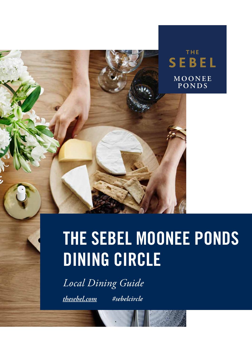

# THE SEBEL MOONEE PONDS DINING CIRCLE

*Local Dining Guide*

*the[sebel.com](http://www.thesebel.com) #sebelcircle*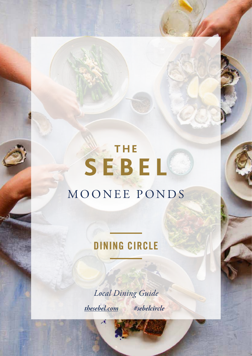## THE SEBEL MOONEE PONDS

### DINING CIRCLE

*Local Dining Guide the[sebel.com](http://www.thesebel.com) #sebelcircle*

78

*Information is correct as of March 2020 and is subject to change.*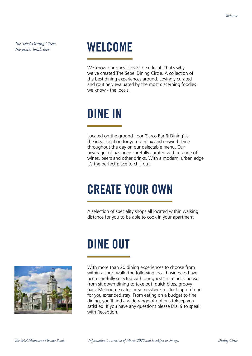*The Sebel Dining Circle. The places locals love.*

### WELCOME

We know our guests love to eat local. That's why we've created The Sebel Dining Circle. A collection of the best dining experiences around. Lovingly curated and routinely evaluated by the most discerning foodies we know - the locals.

### DINE IN

Located on the ground floor 'Saros Bar & Dining' is the ideal location for you to relax and unwind. Dine throughout the day on our delectable menu. Our beverage list has been carefully curated with a range of wines, beers and other drinks. With a modern, urban edge it's the perfect place to chill out.

### CREATE YOUR OWN

A selection of speciality shops all located within walking distance for you to be able to cook in your apartment

## DINE OUT



With more than 20 dining experiences to choose from within a short walk, the following local businesses have been carefully selected with our guests in mind. Choose from sit down dining to take out, quick bites, groovy bars, Melbourne cafes or somewhere to stock up on food for you extended stay. From eating on a budget to fine dining, you'll find a wide range of options tokeep you satisfied. If you have any questions please Dial 9 to speak with Reception.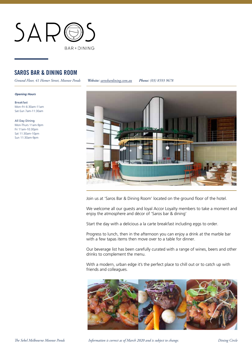

#### SAROS BAR & DINING ROOM

*Ground Floor, 41 Homer Street, Moonee Ponds Website: [sarosbardining.com.au](http://www.sarosbardining.com.au) Phone: (03) 8593 9678*

#### *Opening Hours*

Breakfast Mon–Fri 6:30am-11am Sat-Sun 7am-11:30am

All Day Dining Mon-Thurs 11am-9pm Fri 11am-10:30pm Sat 11:30am-10pm Sun 11:30am-9pm



Join us at 'Saros Bar & Dining Room' located on the ground floor of the hotel.

We welcome all our guests and loyal Accor Loyalty members to take a moment and enjoy the atmosphere and décor of 'Saros bar & dining'

Start the day with a delicious a la carte breakfast including eggs to order.

Progress to lunch, then in the afternoon you can enjoy a drink at the marble bar with a few tapas items then move over to a table for dinner.

Our beverage list has been carefully curated with a range of wines, beers and other drinks to complement the menu.

With a modern, urban edge it's the perfect place to chill out or to catch up with friends and colleagues.

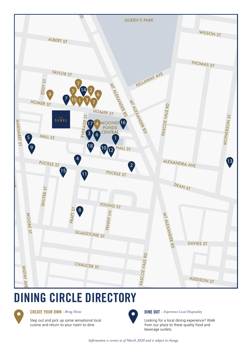

## DINING CIRCLE DIRECTORY



Step out and pick up some sensational local cuisine and return to your room to dine.



**CREATE YOUR OWN** - Bring Home **DINE OUT** - Experience Local Hospitality

Looking for a local dining experience? Walk from our place to these quality food and beverage outlets.

*Information is correct as of March 2020 and is subject to change.*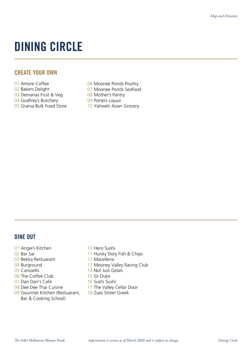### DINING CIRCLE

#### CREATE YOUR OWN

- 01 Amore Coffee
- 02 Bakers Delight
- 03 Demarias Fruit & Veg
- 04 Godfrey's Butchery
- 05 Grania Bulk Food Store
- 06 Moonee Ponds Poultry
- 07 Moonee Ponds Seafood
- 08 Mother's Pantry
- 09 Porters Liquor
- 10 Yahweh Asian Grocery

#### DINE OUT

- 01 Angie's Kitchen
- 02 Bar Sar
- 03 Bekka Restuarant
- 04 Burground
- 05 Carosello
- 06 The Coffee Club
- 07 Dan Dan's Cafe
- 08 Dee Dee Thai Cuisine
- 09 Gourmet Kitchen (Restuarant, Bar & Cooking School)
- 10 Hero Sushi
- 11 Hunky Dory Fish & Chips
- 12 Macelleria
- 13 Mooney Valley Racing Club
- 14 Not Just Gelati
- 15 Sir Duke
- 16 Sushi Sushi
- 17 The Valley Cellar Door
- 18 Zues Street Greek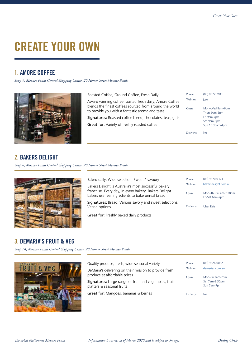### CREATE YOUR OWN

### 1. AMORE COFFEE

*Shop 9, Moonee Ponds Central Shopping Centre, 20 Homer Street Moonee Ponds*



Roasted Coffee, Ground Coffee, Fresh Daily

Award winning coffee roasted fresh daily, Amore Coffee blends the finest coffees sourced from around the world to provide you with a fantastic aroma and taste.

Signatures: Roasted coffee blend, chocolates, teas, gifts

Great for: Variety of freshly roasted coffee

| Phone:    | (03) 9372 7911                                                                    |
|-----------|-----------------------------------------------------------------------------------|
| Website:  | N/A                                                                               |
| Open:     | Mon-Wed 9am-6pm<br>Thurs 9am-6pm<br>Fri 9am-7pm<br>Sat 9am-5pm<br>Sun 10:30am-4pm |
| Delivery: | Nο                                                                                |

### 2. BAKERS DELIGHT

*Shop 8, Moonee Ponds Central Shopping Centre, 20 Homer Street Moonee Ponds*



| Baked daily, Wide selection, Sweet / savoury                                                               | Phone:    | (03) 9370 0373                          |
|------------------------------------------------------------------------------------------------------------|-----------|-----------------------------------------|
| Bakers Delight is Australia's most successful bakery                                                       | Website:  | bakersdelight.com.au                    |
| franchise. Every day, in every bakery, Bakers Delight<br>bakers use real ingredients to bake unreal bread. | Open:     | Mon-Thurs 6am-7:30pm<br>Fri-Sat 6am-7pm |
| <b>Signatures:</b> Bread, Various savory and sweet selections,<br>Vegan options                            | Delivery: | <b>Uber Eats</b>                        |
| <b>Great for: Freshly baked daily products</b>                                                             |           |                                         |

#### 3. DEMARIA'S FRUIT & VEG

*Shop F4, Moonee Ponds Central Shopping Centre, 20 Homer Street Moonee Ponds*



| Quality produce, fresh, wide seasonal variety                                           | Phone:            | $(03)$ 9326 0082                   |
|-----------------------------------------------------------------------------------------|-------------------|------------------------------------|
| DeMaria's delivering on their mission to provide fresh<br>produce at affordable prices. | Website:<br>Open: | demarias.com.au<br>Mon-Fri 7am-7pm |
| Signatures: Large range of fruit and vegetables, fruit<br>platters & seasonal fruits    |                   | Sat 7am-8:30pm<br>Sun 7am-7pm      |
| Great for: Mangoes, bananas & berries                                                   | Delivery:         | <b>No</b>                          |
|                                                                                         |                   |                                    |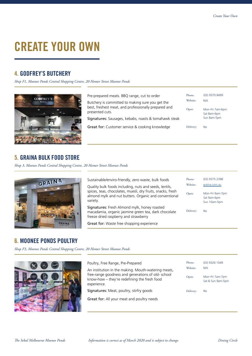### CREATE YOUR OWN

### 4. GODFREY'S BUTCHERY

*Shop F1, Moonee Ponds Central Shopping Centre, 20 Homer Street Moonee Ponds*



Phone: Open: Mon–Fri 7am-6pm Sat 8am-6pm Sun 8am-5pm Website: N/A Pre-prepared meats. BBQ range, cut to order Butchery is committed to making sure you get the best, freshest meat, and professionally prepared and presented cuts. Signatures: Sausages, kebabs, roasts & tomahawk steak Great for: Customer service & cooking knowledge Delivery: No (03) 9370 8499

#### 5. GRAINA BULK FOOD STORE

*Shop 3, Moonee Ponds Central Shopping Centre, 20 Homer Street Moonee Ponds*



| Sustainable/enviro-friendly, zero waste, bulk foods                                                                                           | Phone:    | (03) 9375 2398                                 |
|-----------------------------------------------------------------------------------------------------------------------------------------------|-----------|------------------------------------------------|
| Quality bulk foods including, nuts and seeds, lentils,                                                                                        | Website:  | graina.com.au                                  |
| spices, teas, chocolates, muesli, dry fruits, snacks, fresh<br>almond mylk and nut butters. Organic and conventional<br>variety.              | Open:     | Mon-Fri 9am-7pm<br>Sat 9am-6pm<br>Sun 10am-5pm |
| Signatures: Fresh Almond mylk, honey roasted<br>macadamia, organic jasmine green tea, dark chocolate<br>freeze dried raspberry and strawberry | Delivery: | <b>No</b>                                      |
| Great for: Waste free shopping experience                                                                                                     |           |                                                |

#### 6. MOONEE PONDS POULTRY

*Shop F3, Moonee Ponds Central Shopping Centre, 20 Homer Street Moonee Ponds*



| Poultry, Free Range, Pre-Prepared                                                                        | Phone:    | (03) 9326 1049                       |
|----------------------------------------------------------------------------------------------------------|-----------|--------------------------------------|
| An institution in the making. Mouth-watering meats,<br>free-range goodness and generations of old-school | Website:  | N/A                                  |
| know-how - they're redefining the fresh food<br>experience.                                              | Open:     | Mon-Fri 7am-7pm<br>Sat & Sun 9am-5pm |
| <b>Signatures:</b> Meat, poultry, stirfry goods                                                          | Delivery: | <b>No</b>                            |
| Great for: All your meat and poultry needs                                                               |           |                                      |
|                                                                                                          |           |                                      |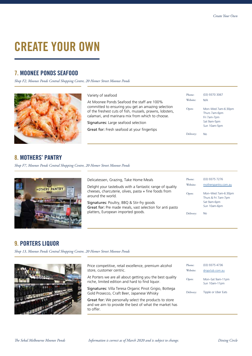Phone: (03) 9370 3067

Website: N/A

No

Mon–Wed 7am-6:30pm Thurs 7am-6pm Fri 7am-7pm Sat 9am-5pm Sun 10am-5pm

Open:

Delivery:

### CREATE YOUR OWN

#### 7. MOONEE PONDS SEAFOOD

*Shop F2, Moonee Ponds Central Shopping Centre, 20 Homer Street Moonee Ponds*

Variety of seafood

At Moonee Ponds Seafood the staff are 100% committed to ensuring you get an amazing selection of the freshest cuts of fish, mussels, prawns, lobsters, calamari, and marinara mix from which to choose.

Signatures: Large seafood selection

Great for: Fresh seafood at your fingertips



#### 8. MOTHERS' PANTRY

*Shop F7, Moonee Ponds Central Shopping Centre, 20 Homer Street Moonee Ponds*



Phone: (03) 9375 7276 Open: Delivery: Mon–Wed 7am-6:30pm Thurs & Fri 7am-7pm Sat 9am-6pm Sun 10am-6pm Website: [motherspantry.com.au](http://www.motherspantry.com.au) Delicatessen, Grazing, Take Home Meals Delight your tastebuds with a fantastic range of quality cheeses, charcuterie, olives, pasta + fine foods from around the world. Signatures: Poultry, BBQ & Stir-fry goods Great for: Pre made meals, vast selection for anti pasto platters, European imported goods. The state of the series of the pelivery: No

### 9. PORTERS LIQUOR

*Shop 13, Moonee Ponds Central Shopping Centre, 20 Homer Street Moonee Ponds*



Price competitive, retail excellence, premium alcohol store, customer centric.

At Porters we are all about getting you the best quality niche, limited edition and hard to find liquor.

Signatures: Villa Teresa Organic Pinot Grigio, Bottega Gold Prosecco, Craft Beer, Japanese Whisky

Great for: We personally select the products to store and we aim to provide the best of what the market has to offer.

| Phone:    | (03) 9375 4736                    |
|-----------|-----------------------------------|
| Website:  | dropclub.com.au                   |
| Open:     | Mon-Sat 9am-11pm<br>Sun 10am-11pm |
| Delivery: | Tipple or Uber Eats               |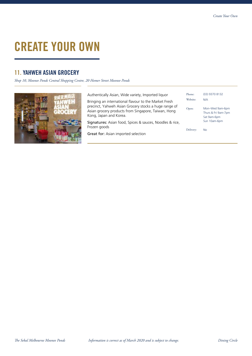### CREATE YOUR OWN

#### 11. YAHWEH ASIAN GROCERY

*Shop 10, Moonee Ponds Central Shopping Centre, 20 Homer Street Moonee Ponds*



| Authentically Asian, Wide variety, Imported liquor                                                                                     | Phone:    | (03) 9370 8132                                        |
|----------------------------------------------------------------------------------------------------------------------------------------|-----------|-------------------------------------------------------|
| Bringing an international flavour to the Market Fresh                                                                                  | Website:  | N/A                                                   |
| precinct, Yahweh Asian Grocery stocks a huge range of<br>Asian grocery products from Singapore, Taiwan, Hong<br>Kong, Japan and Korea. | Open:     | Mon-Wed 9am-6pm<br>Thurs & Fri 9am-7pm<br>Sat 9am-6pm |
| <b>Signatures:</b> Asian food, Spices & sauces, Noodles & rice,<br>Frozen goods                                                        |           | Sun 10am-6pm                                          |
| <b>Great for:</b> Asian imported selection                                                                                             | Delivery: | No                                                    |
|                                                                                                                                        |           |                                                       |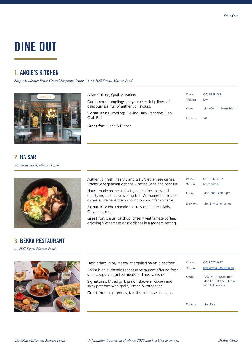### 1. ANGIE'S KITCHEN

*Shop 75, Moonee Ponds Central Shopping Centre, 21-31 Hall Street,, Moonee Ponds*



| Asian Cuisine, Quality, Variety                                | Phone:    | (03) 9939 5821       |
|----------------------------------------------------------------|-----------|----------------------|
| Our famous dumplings are your cheerful pillows of              | Website:  | N/A                  |
| deliciousness, full of authentic flavours.                     | Open:     | Mon-Sun 11:30am-10pm |
| Signatures: Dumplings, Peking Duck Pancakes, Bao,<br>Crab Roll | Delivery: | No.                  |
| <b>Great for: Lunch &amp; Dinner</b>                           |           |                      |

*26 Puckle Street, Moonee Ponds* 2. BA SAR



### 3. BEKKA RESTAURANT

*22 Hall Street, Moonee Ponds*



| Authentic, fresh, healthy and tasty Vietnamese dishes.<br>Extensive vegetarian options. Crafted wine and beer list.                                                 | Phone:<br>Website: | (03) 9042 5192<br>basar.com.au |
|---------------------------------------------------------------------------------------------------------------------------------------------------------------------|--------------------|--------------------------------|
| House-made recipes reflect genuine freshness and<br>quality ingredients delivering true Vietnamese flavoured<br>dishes as we have them around our own family table. | Open:              | Mon-Sun 10am-9pm               |
| <b>Signatures:</b> Pho (Noodle soup), Vietnamese salads,<br>Claypot salmon                                                                                          | Delivery:          | Uber Eats & Deliveroo          |
| Great for: Casual catchup, cheeky Vietnamese coffee,<br>enjoying Vietnamese classic dishes in a modern setting.                                                     |                    |                                |

| Fresh salads, dips, mezza, chargrilled meats & seafood<br>Bekka is an authentic Lebanese restaurant offering fresh<br>salads, dips, chargrilled meats and mezza dishes.<br>Signatures: Mixed grill, prawn skewers, Kibbeh and<br>spicy potatoes with garlic, lemon & corriander | Phone:<br>Website:<br>Open: | (03) 9077 8827<br>bekkarestaurant.com.au<br>Tues-Fri 11:30am-3pm<br>Mon-Fri 5:30pm-9:30pm<br>Sat 11:30am-late |
|---------------------------------------------------------------------------------------------------------------------------------------------------------------------------------------------------------------------------------------------------------------------------------|-----------------------------|---------------------------------------------------------------------------------------------------------------|
| <b>Great for:</b> Large groups, families and a casual night.                                                                                                                                                                                                                    |                             |                                                                                                               |
|                                                                                                                                                                                                                                                                                 | Delivery:                   | Uber Eats                                                                                                     |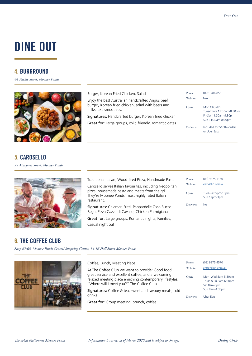#### 4. BURGROUND

*84 Puckle Street, Moonee Ponds*



### 5. CAROSELLO

*22 Margaret Street, Moonee Ponds*



Traditional Italian, Wood-fired Pizza, Handmade Pasta Carosello serves Italian favourites, including Neopolitan pizza, housemade pasta and meats from the grill. They're Moonee Ponds' most highly rated Italian restaurant. Signatures: Calamari Fritti, Pappardelle Osso Bucco Ragu, Pizza Cazza di Cavallo, Chicken Parmigiana

Great for: Large groups, Romantic nights, Families, Casual night out

Burger, Korean Fried Chicken, Salad

milkshake smoothies.

Enjoy the best Australian handcrafted Angus beef burger, Korean fried chicken, salad with beers and

Signatures: Handcrafted burger, Korean fried chicken Great for: Large groups, child friendly, romantic dates

> Phone: (03) 9375 1160 Open: Tues–Sat 5pm-10pm Sun 12pm-3pm Website: [carosello.com.au](http://www.carosello.com.au) Delivery: No

Phone: 0481 786 855

Website: N/A

Mon CLOSED

or Uber Eats

Tues-Thurs 11:30am-8:30pm Fri-Sat 11:30am-9:30pm Sun 11:30am-8:30pm

Included for \$100+ orders

Open:

Delivery:

#### 6. THE COFFEE CLUB

*Shop 67/68, Moonee Ponds Central Shopping Centre, 14-16 Hall Street Moonee Ponds*



| Coffee, Lunch, Meeting Place                                                                                                                                                                                     | Phone:            | (03) 9375 4570                                                                   |
|------------------------------------------------------------------------------------------------------------------------------------------------------------------------------------------------------------------|-------------------|----------------------------------------------------------------------------------|
| At The Coffee Club we want to provide: Good food,<br>great service and excellent coffee; and a welcoming<br>relaxed meeting place enriching contemporary lifestyles.<br>"Where will I meet you?" The Coffee Club | Website:<br>Open: | coffeeclub.com.au<br>Mon-Wed 8am-5:30pm<br>Thurs & Fri 8am-6:30pm<br>Sat 8am-5pm |
| Signatures: Coffee & tea, sweet and savoury meals, cold<br>drinks                                                                                                                                                | Delivery:         | Sun 8am-4:30pm<br>Uber Eats                                                      |
| Great for: Group meeting, brunch, coffee                                                                                                                                                                         |                   |                                                                                  |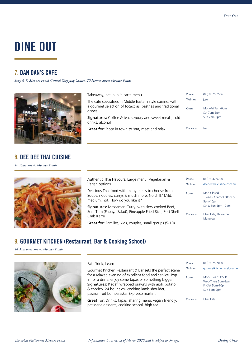### 7. DAN DAN'S CAFE

*Shop 6-7, Moonee Ponds Central Shopping Centre, 20 Homer Street Moonee Ponds*



#### 8. DEE DEE THAI CUISINE

*10 Pratt Street, Moonee Ponds*



Authentic Thai Flavours, Large menu, Vegetarian & Vegan options

Takeaway, eat in, a la carte menu

dishes.

drinks, alcohol

The cafe specialises in Middle Eastern style cuisine, with a gourmet selection of focaccias, pastries and traditional

Signatures: Coffee & tea, savoury and sweet meals, cold

Great for: Place in town to 'eat, meet and relax' Delivery: No

Delicious Thai food with many meals to choose from. Soups, noodles, currys & much more. No chill? Mild, medium, hot. How do you like it?

Signatures: Massaman Curry, with slow cooked Beef, Som Tum (Papaya Salad), Pineapple Fried Rice, Soft Shell Crab Karre

Great for: Families, kids, couples, small groups (5-10)

| Phone:<br>Website: | (03) 9042 9720<br>deedeethaicuisine.com.au                             |
|--------------------|------------------------------------------------------------------------|
| Open:              | Mon-Closed<br>Tues-Fri 10am-3:30pm &<br>5pm-10pm<br>Sat & Sun 5pm-10pm |
| Delivery:          | Uber Eats, Deliveroo,<br>Menulog                                       |

Phone: (03) 9375 7566

Website: N/A

Mon–Fri 7am-6pm Sat 7am-6pm Sun 7am-5pm

Open:

Delivery:

 $\epsilon$ 

 $\Gamma$ 

#### 9. GOURMET KITCHEN (Restaurant, Bar & Cooking School)

*14 Margaret Street, Moonee Ponds*



#### Eat, Drink, Learn

Gourmet Kitchen Restaurant & Bar sets the perfect scene for a relaxed evening of excellent food and service. Pop in for a drink, enjoy some tapas or something bigger. Signatures: Kadafi wrapped prawns with aioli, potato & chorizo, 24 hour slow cooking lamb shoulder, passionfruit bombalaska. Expresso martini.

Great for: Drinks, tapas, sharing menu, vegan friendly, patisserie desserts, cooking school, high tea.

| Phone:<br>Website: | (03) 9375 7000<br>gourmetkitchen.melbourne                              |
|--------------------|-------------------------------------------------------------------------|
| Open:              | Mon-Tues CLOSED<br>Wed-Thurs 5pm-9pm<br>Fri-Sat 5pm-10pm<br>Sun 5pm-9pm |
| Delivery:          | Uher Fats                                                               |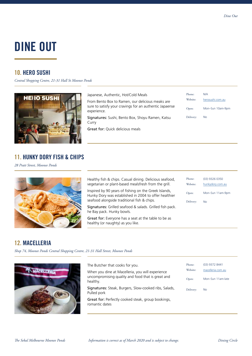### 10. HERO SUSHI

*Central Shopping Centre, 21-31 Hall St Moonee Ponds*



Japanese, Authentic, Hot/Cold Meals

Great for: Quick delicious meals

Curry

From Bento Box to Ramen, our delicious meaks are sure to satisfy your cravings for an authentic Japaense experience.

Signatures: Sushi, Bento Box, Shoyu Ramen, Katsu

| Phone:<br>Website: | N/A<br>herosushi.com.au |
|--------------------|-------------------------|
| Open:              | Mon-Sun 10am-9pm        |
| Delivery:          | Nο                      |

11. HUNKY DORY FISH & CHIPS

*28 Pratt Street, Moonee Ponds*



Healthy fish & chips. Casual dining. Delicious seafood, vegetarian or plant-based mealsfresh from the grill. Inspired by 90 years of fishing on the Greek Islands,

Hunky Dory was established in 2004 to offer healthier seafood alongside traditional fish & chips.

Signatures: Grilled seafood & salads. Grilled fish pack. he Bay pack. Hunky bowls.

Great for: Everyone has a seat at the table to be as healthy (or naughty) as you like.

| Phone:<br>Website: | (03) 9326 0350<br>hunkydory.com.au |
|--------------------|------------------------------------|
| Open:              | Mon-Sun 11am-9pm                   |
| Delivery:          | Nο                                 |
|                    |                                    |

### 12. MACELLERIA

*Shop 74, Moonee Ponds Central Shopping Centre, 21-31 Hall Street, Moonee Ponds*



| The Butcher that cooks for you.                                                                                   | Phone:            | (03) 9372 8441                         |
|-------------------------------------------------------------------------------------------------------------------|-------------------|----------------------------------------|
| When you dine at Macelleria, you will experience<br>uncompromising quality and food that is great and<br>healthy. | Website:<br>Open: | macelleria.com.au<br>Mon-Sun 11am-late |
| Signatures: Steak, Burgers, Slow-cooked ribs, Salads,<br>Pulled pork                                              | Delivery:         | <b>No</b>                              |
| Great for: Perfectly cooked steak, group bookings,<br>romantic dates                                              |                   |                                        |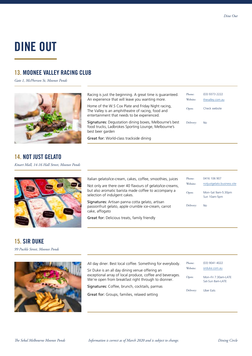### 13. MOONEE VALLEY RACING CLUB

*Gate 1, McPherson St, Moonee Ponds*



### 14. NOT JUST GELATO

*Kmart Mall, 14-16 Hall Street, Moonee Ponds*



Italian gelato/ice-cream, cakes, coffee, smoothies, juices Not only are there over 40 flavours of gelato/ice-creams, but also aromatic barista made coffee to accompany a selection of indulgent cakes.

Signatures: Artisan panna cotta gelato, artisan passionfruit gelato, apple crumble ice-cream, carrot cake, affogato

Great for: Delicious treats, family friendly

| Phone:    | 0416 106 907                       |
|-----------|------------------------------------|
| Website:  | notjustgelato.business.site        |
| Open:     | Mon-Sat 9am-5:30pm<br>Sun 10am-5pm |
| Delivery: | N٥                                 |

### 15. SIR DUKE

*99 Puckle Street, Moonee Ponds*



| All day diner. Best local coffee. Something for everybody.                                                       | Phone:    | (03) 9041 4022                          |
|------------------------------------------------------------------------------------------------------------------|-----------|-----------------------------------------|
| Sir Duke is an all day dining venue offering an                                                                  | Website:  | sirduke.com.au                          |
| exceptional array of local produce, coffee and beverages.<br>We're open from breakfast right through to dionner. | Open:     | Mon-Fri 7:30am-LATE<br>Sat-Sun 8am-LATE |
| Signatures: Coffee, brunch, cocktails, parmas                                                                    | Delivery: | Uber Eats                               |
| <b>Great for:</b> Groups, families, relaxed setting                                                              |           |                                         |
|                                                                                                                  |           |                                         |